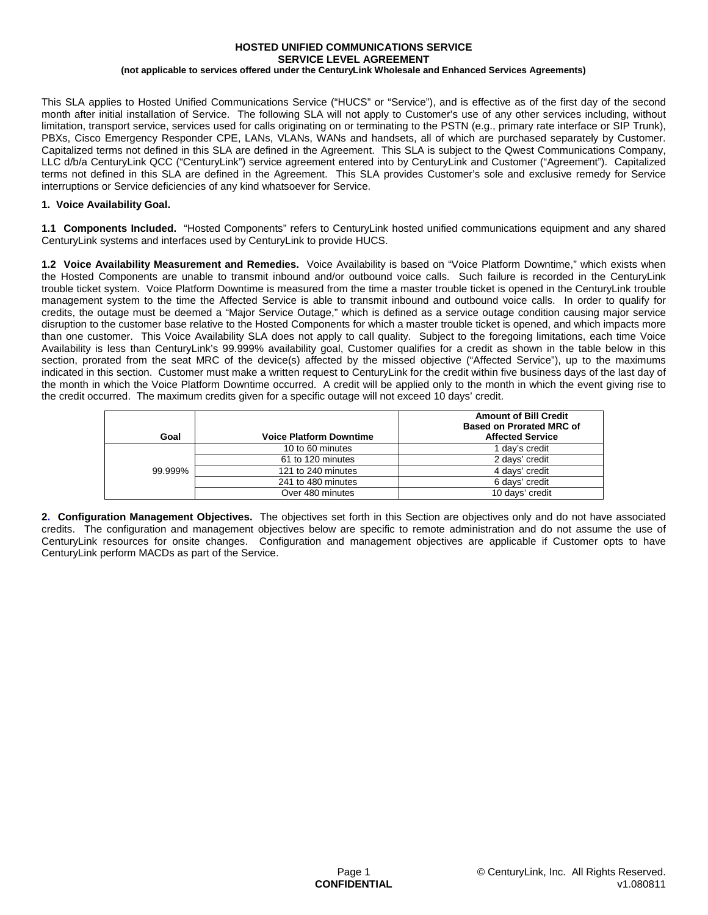#### **HOSTED UNIFIED COMMUNICATIONS SERVICE SERVICE LEVEL AGREEMENT (not applicable to services offered under the CenturyLink Wholesale and Enhanced Services Agreements)**

This SLA applies to Hosted Unified Communications Service ("HUCS" or "Service"), and is effective as of the first day of the second month after initial installation of Service. The following SLA will not apply to Customer's use of any other services including, without limitation, transport service, services used for calls originating on or terminating to the PSTN (e.g., primary rate interface or SIP Trunk), PBXs, Cisco Emergency Responder CPE, LANs, VLANs, WANs and handsets, all of which are purchased separately by Customer. Capitalized terms not defined in this SLA are defined in the Agreement. This SLA is subject to the Qwest Communications Company, LLC d/b/a CenturyLink QCC ("CenturyLink") service agreement entered into by CenturyLink and Customer ("Agreement"). Capitalized terms not defined in this SLA are defined in the Agreement. This SLA provides Customer's sole and exclusive remedy for Service interruptions or Service deficiencies of any kind whatsoever for Service.

# **1. Voice Availability Goal.**

**1.1 Components Included.** "Hosted Components" refers to CenturyLink hosted unified communications equipment and any shared CenturyLink systems and interfaces used by CenturyLink to provide HUCS.

**1.2 Voice Availability Measurement and Remedies.** Voice Availability is based on "Voice Platform Downtime," which exists when the Hosted Components are unable to transmit inbound and/or outbound voice calls. Such failure is recorded in the CenturyLink trouble ticket system. Voice Platform Downtime is measured from the time a master trouble ticket is opened in the CenturyLink trouble management system to the time the Affected Service is able to transmit inbound and outbound voice calls. In order to qualify for credits, the outage must be deemed a "Major Service Outage," which is defined as a service outage condition causing major service disruption to the customer base relative to the Hosted Components for which a master trouble ticket is opened, and which impacts more than one customer. This Voice Availability SLA does not apply to call quality. Subject to the foregoing limitations, each time Voice Availability is less than CenturyLink's 99.999% availability goal, Customer qualifies for a credit as shown in the table below in this section, prorated from the seat MRC of the device(s) affected by the missed objective ("Affected Service"), up to the maximums indicated in this section. Customer must make a written request to CenturyLink for the credit within five business days of the last day of the month in which the Voice Platform Downtime occurred. A credit will be applied only to the month in which the event giving rise to the credit occurred. The maximum credits given for a specific outage will not exceed 10 days' credit.

| Goal    | <b>Voice Platform Downtime</b> | <b>Amount of Bill Credit</b><br><b>Based on Prorated MRC of</b><br><b>Affected Service</b> |
|---------|--------------------------------|--------------------------------------------------------------------------------------------|
| 99.999% | 10 to 60 minutes               | 1 day's credit                                                                             |
|         | 61 to 120 minutes              | 2 days' credit                                                                             |
|         | 121 to 240 minutes             | 4 days' credit                                                                             |
|         | 241 to 480 minutes             | 6 days' credit                                                                             |
|         | Over 480 minutes               | 10 days' credit                                                                            |

**2. Configuration Management Objectives.** The objectives set forth in this Section are objectives only and do not have associated credits. The configuration and management objectives below are specific to remote administration and do not assume the use of CenturyLink resources for onsite changes. Configuration and management objectives are applicable if Customer opts to have CenturyLink perform MACDs as part of the Service.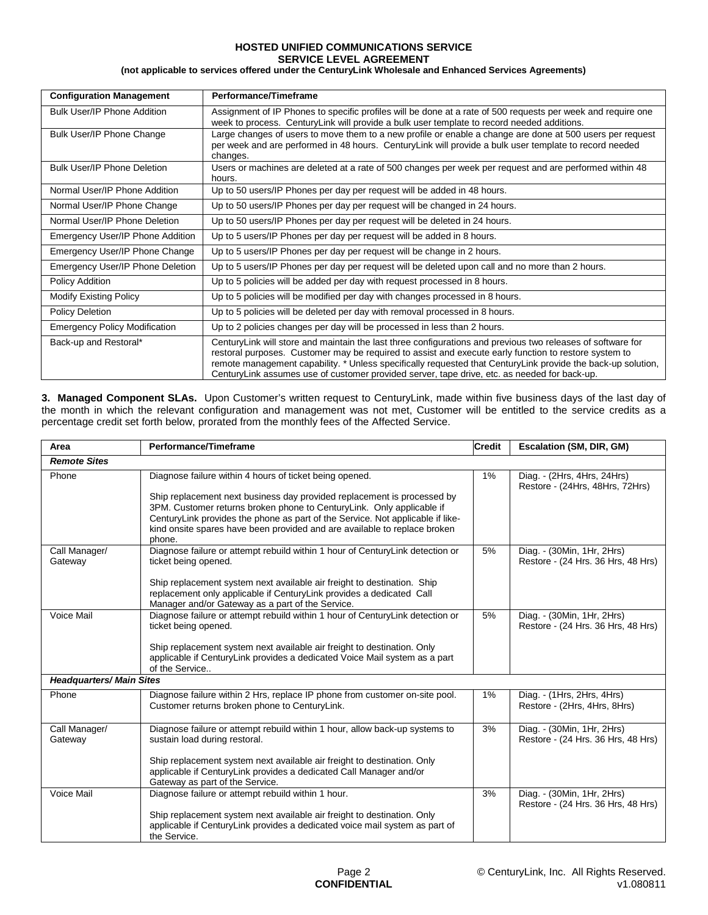### **HOSTED UNIFIED COMMUNICATIONS SERVICE SERVICE LEVEL AGREEMENT**

**(not applicable to services offered under the CenturyLink Wholesale and Enhanced Services Agreements)**

| <b>Configuration Management</b>      | Performance/Timeframe                                                                                                                                                                                                                                                                                                                                                                                                                |  |  |  |  |
|--------------------------------------|--------------------------------------------------------------------------------------------------------------------------------------------------------------------------------------------------------------------------------------------------------------------------------------------------------------------------------------------------------------------------------------------------------------------------------------|--|--|--|--|
| Bulk User/IP Phone Addition          | Assignment of IP Phones to specific profiles will be done at a rate of 500 requests per week and require one<br>week to process. CenturyLink will provide a bulk user template to record needed additions.                                                                                                                                                                                                                           |  |  |  |  |
| Bulk User/IP Phone Change            | Large changes of users to move them to a new profile or enable a change are done at 500 users per request<br>per week and are performed in 48 hours. CenturyLink will provide a bulk user template to record needed<br>changes.                                                                                                                                                                                                      |  |  |  |  |
| Bulk User/IP Phone Deletion          | Users or machines are deleted at a rate of 500 changes per week per request and are performed within 48<br>hours.                                                                                                                                                                                                                                                                                                                    |  |  |  |  |
| Normal User/IP Phone Addition        | Up to 50 users/IP Phones per day per request will be added in 48 hours.                                                                                                                                                                                                                                                                                                                                                              |  |  |  |  |
| Normal User/IP Phone Change          | Up to 50 users/IP Phones per day per request will be changed in 24 hours.                                                                                                                                                                                                                                                                                                                                                            |  |  |  |  |
| Normal User/IP Phone Deletion        | Up to 50 users/IP Phones per day per request will be deleted in 24 hours.                                                                                                                                                                                                                                                                                                                                                            |  |  |  |  |
| Emergency User/IP Phone Addition     | Up to 5 users/IP Phones per day per request will be added in 8 hours.                                                                                                                                                                                                                                                                                                                                                                |  |  |  |  |
| Emergency User/IP Phone Change       | Up to 5 users/IP Phones per day per request will be change in 2 hours.                                                                                                                                                                                                                                                                                                                                                               |  |  |  |  |
| Emergency User/IP Phone Deletion     | Up to 5 users/IP Phones per day per request will be deleted upon call and no more than 2 hours.                                                                                                                                                                                                                                                                                                                                      |  |  |  |  |
| Policy Addition                      | Up to 5 policies will be added per day with request processed in 8 hours.                                                                                                                                                                                                                                                                                                                                                            |  |  |  |  |
| <b>Modify Existing Policy</b>        | Up to 5 policies will be modified per day with changes processed in 8 hours.                                                                                                                                                                                                                                                                                                                                                         |  |  |  |  |
| Policy Deletion                      | Up to 5 policies will be deleted per day with removal processed in 8 hours.                                                                                                                                                                                                                                                                                                                                                          |  |  |  |  |
| <b>Emergency Policy Modification</b> | Up to 2 policies changes per day will be processed in less than 2 hours.                                                                                                                                                                                                                                                                                                                                                             |  |  |  |  |
| Back-up and Restoral*                | CenturyLink will store and maintain the last three configurations and previous two releases of software for<br>restoral purposes. Customer may be required to assist and execute early function to restore system to<br>remote management capability. * Unless specifically requested that CenturyLink provide the back-up solution,<br>CenturyLink assumes use of customer provided server, tape drive, etc. as needed for back-up. |  |  |  |  |

**3. Managed Component SLAs.** Upon Customer's written request to CenturyLink, made within five business days of the last day of the month in which the relevant configuration and management was not met, Customer will be entitled to the service credits as a percentage credit set forth below, prorated from the monthly fees of the Affected Service.

| Area                            | Performance/Timeframe                                                                                                                                                                                                                                                                                                                                                                | <b>Credit</b> | <b>Escalation (SM, DIR, GM)</b>                                  |  |  |
|---------------------------------|--------------------------------------------------------------------------------------------------------------------------------------------------------------------------------------------------------------------------------------------------------------------------------------------------------------------------------------------------------------------------------------|---------------|------------------------------------------------------------------|--|--|
| <b>Remote Sites</b>             |                                                                                                                                                                                                                                                                                                                                                                                      |               |                                                                  |  |  |
| Phone                           | Diagnose failure within 4 hours of ticket being opened.<br>Ship replacement next business day provided replacement is processed by<br>3PM. Customer returns broken phone to CenturyLink. Only applicable if<br>CenturyLink provides the phone as part of the Service. Not applicable if like-<br>kind onsite spares have been provided and are available to replace broken<br>phone. | $1\%$         | Diag. - (2Hrs, 4Hrs, 24Hrs)<br>Restore - (24Hrs, 48Hrs, 72Hrs)   |  |  |
| Call Manager/<br>Gateway        | Diagnose failure or attempt rebuild within 1 hour of CenturyLink detection or<br>ticket being opened.<br>Ship replacement system next available air freight to destination. Ship<br>replacement only applicable if CenturyLink provides a dedicated Call<br>Manager and/or Gateway as a part of the Service.                                                                         | 5%            | Diag. - (30Min, 1Hr, 2Hrs)<br>Restore - (24 Hrs. 36 Hrs, 48 Hrs) |  |  |
| <b>Voice Mail</b>               | Diagnose failure or attempt rebuild within 1 hour of CenturyLink detection or<br>ticket being opened.<br>Ship replacement system next available air freight to destination. Only<br>applicable if CenturyLink provides a dedicated Voice Mail system as a part<br>of the Service                                                                                                     | 5%            | Diag. - (30Min, 1Hr, 2Hrs)<br>Restore - (24 Hrs. 36 Hrs, 48 Hrs) |  |  |
| <b>Headquarters/ Main Sites</b> |                                                                                                                                                                                                                                                                                                                                                                                      |               |                                                                  |  |  |
| Phone                           | Diagnose failure within 2 Hrs, replace IP phone from customer on-site pool.<br>Customer returns broken phone to CenturyLink.                                                                                                                                                                                                                                                         | $1\%$         | Diag. - (1Hrs, 2Hrs, 4Hrs)<br>Restore - (2Hrs, 4Hrs, 8Hrs)       |  |  |
| Call Manager/<br>Gateway        | Diagnose failure or attempt rebuild within 1 hour, allow back-up systems to<br>sustain load during restoral.<br>Ship replacement system next available air freight to destination. Only<br>applicable if CenturyLink provides a dedicated Call Manager and/or<br>Gateway as part of the Service.                                                                                     | 3%            | Diag. - (30Min, 1Hr, 2Hrs)<br>Restore - (24 Hrs. 36 Hrs, 48 Hrs) |  |  |
| Voice Mail                      | Diagnose failure or attempt rebuild within 1 hour.<br>Ship replacement system next available air freight to destination. Only<br>applicable if CenturyLink provides a dedicated voice mail system as part of<br>the Service.                                                                                                                                                         | 3%            | Diag. - (30Min, 1Hr, 2Hrs)<br>Restore - (24 Hrs. 36 Hrs, 48 Hrs) |  |  |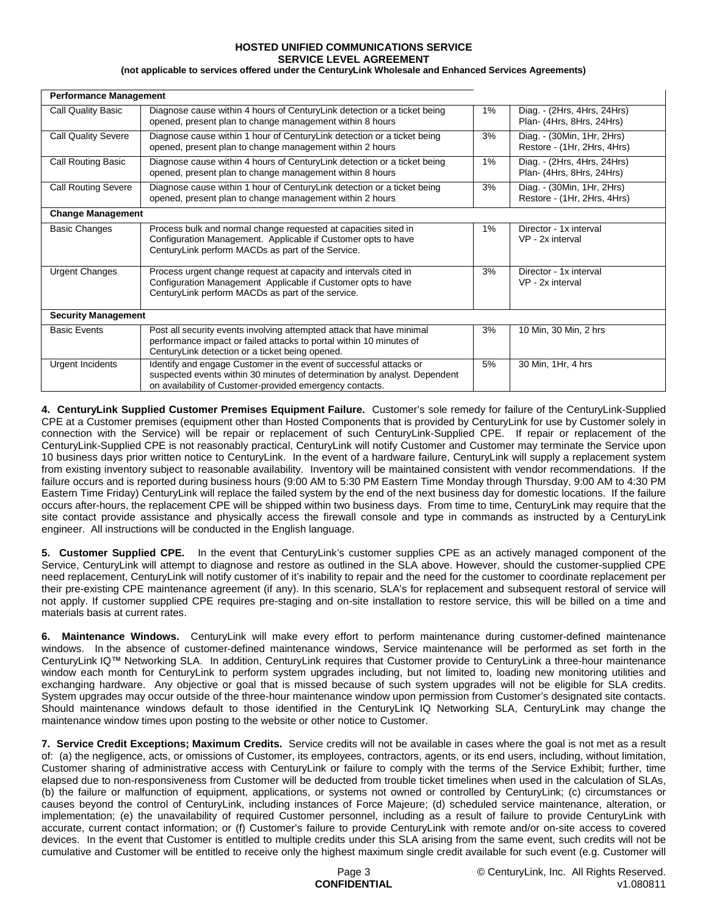#### **HOSTED UNIFIED COMMUNICATIONS SERVICE SERVICE LEVEL AGREEMENT**

## **(not applicable to services offered under the CenturyLink Wholesale and Enhanced Services Agreements)**

| <b>Performance Management</b> |                                                                                                                                                                                                             |       |                                                           |  |  |
|-------------------------------|-------------------------------------------------------------------------------------------------------------------------------------------------------------------------------------------------------------|-------|-----------------------------------------------------------|--|--|
| Call Quality Basic            | Diagnose cause within 4 hours of Century Link detection or a ticket being<br>opened, present plan to change management within 8 hours                                                                       | 1%    | Diag. - (2Hrs, 4Hrs, 24Hrs)<br>Plan- (4Hrs, 8Hrs, 24Hrs)  |  |  |
| <b>Call Quality Severe</b>    | Diagnose cause within 1 hour of CenturyLink detection or a ticket being<br>opened, present plan to change management within 2 hours                                                                         | 3%    | Diag. - (30Min, 1Hr, 2Hrs)<br>Restore - (1Hr, 2Hrs, 4Hrs) |  |  |
| <b>Call Routing Basic</b>     | Diagnose cause within 4 hours of CenturyLink detection or a ticket being<br>opened, present plan to change management within 8 hours                                                                        | $1\%$ | Diag. - (2Hrs, 4Hrs, 24Hrs)<br>Plan- (4Hrs, 8Hrs, 24Hrs)  |  |  |
| <b>Call Routing Severe</b>    | Diagnose cause within 1 hour of CenturyLink detection or a ticket being<br>opened, present plan to change management within 2 hours                                                                         | 3%    | Diag. - (30Min, 1Hr, 2Hrs)<br>Restore - (1Hr, 2Hrs, 4Hrs) |  |  |
| <b>Change Management</b>      |                                                                                                                                                                                                             |       |                                                           |  |  |
| <b>Basic Changes</b>          | Process bulk and normal change requested at capacities sited in<br>Configuration Management. Applicable if Customer opts to have<br>CenturyLink perform MACDs as part of the Service.                       | 1%    | Director - 1x interval<br>VP - 2x interval                |  |  |
| <b>Urgent Changes</b>         | Process urgent change request at capacity and intervals cited in<br>Configuration Management Applicable if Customer opts to have<br>CenturyLink perform MACDs as part of the service.                       | 3%    | Director - 1x interval<br>VP - 2x interval                |  |  |
| <b>Security Management</b>    |                                                                                                                                                                                                             |       |                                                           |  |  |
| <b>Basic Events</b>           | Post all security events involving attempted attack that have minimal<br>performance impact or failed attacks to portal within 10 minutes of<br>CenturyLink detection or a ticket being opened.             | 3%    | 10 Min, 30 Min, 2 hrs                                     |  |  |
| <b>Urgent Incidents</b>       | Identify and engage Customer in the event of successful attacks or<br>suspected events within 30 minutes of determination by analyst. Dependent<br>on availability of Customer-provided emergency contacts. | 5%    | 30 Min, 1Hr, 4 hrs                                        |  |  |

**4. CenturyLink Supplied Customer Premises Equipment Failure.** Customer's sole remedy for failure of the CenturyLink-Supplied CPE at a Customer premises (equipment other than Hosted Components that is provided by CenturyLink for use by Customer solely in connection with the Service) will be repair or replacement of such CenturyLink-Supplied CPE. If repair or replacement of the CenturyLink-Supplied CPE is not reasonably practical, CenturyLink will notify Customer and Customer may terminate the Service upon 10 business days prior written notice to CenturyLink. In the event of a hardware failure, CenturyLink will supply a replacement system from existing inventory subject to reasonable availability. Inventory will be maintained consistent with vendor recommendations. If the failure occurs and is reported during business hours (9:00 AM to 5:30 PM Eastern Time Monday through Thursday, 9:00 AM to 4:30 PM Eastern Time Friday) CenturyLink will replace the failed system by the end of the next business day for domestic locations. If the failure occurs after-hours, the replacement CPE will be shipped within two business days. From time to time, CenturyLink may require that the site contact provide assistance and physically access the firewall console and type in commands as instructed by a CenturyLink engineer. All instructions will be conducted in the English language.

**5. Customer Supplied CPE.** In the event that CenturyLink's customer supplies CPE as an actively managed component of the Service, CenturyLink will attempt to diagnose and restore as outlined in the SLA above. However, should the customer-supplied CPE need replacement, CenturyLink will notify customer of it's inability to repair and the need for the customer to coordinate replacement per their pre-existing CPE maintenance agreement (if any). In this scenario, SLA's for replacement and subsequent restoral of service will not apply. If customer supplied CPE requires pre-staging and on-site installation to restore service, this will be billed on a time and materials basis at current rates.

**6. Maintenance Windows.** CenturyLink will make every effort to perform maintenance during customer-defined maintenance windows. In the absence of customer-defined maintenance windows, Service maintenance will be performed as set forth in the CenturyLink IQ™ Networking SLA. In addition, CenturyLink requires that Customer provide to CenturyLink a three-hour maintenance window each month for CenturyLink to perform system upgrades including, but not limited to, loading new monitoring utilities and exchanging hardware. Any objective or goal that is missed because of such system upgrades will not be eligible for SLA credits. System upgrades may occur outside of the three-hour maintenance window upon permission from Customer's designated site contacts. Should maintenance windows default to those identified in the CenturyLink IQ Networking SLA, CenturyLink may change the maintenance window times upon posting to the website or other notice to Customer.

**7. Service Credit Exceptions; Maximum Credits.** Service credits will not be available in cases where the goal is not met as a result of: (a) the negligence, acts, or omissions of Customer, its employees, contractors, agents, or its end users, including, without limitation, Customer sharing of administrative access with CenturyLink or failure to comply with the terms of the Service Exhibit; further, time elapsed due to non-responsiveness from Customer will be deducted from trouble ticket timelines when used in the calculation of SLAs, (b) the failure or malfunction of equipment, applications, or systems not owned or controlled by CenturyLink; (c) circumstances or causes beyond the control of CenturyLink, including instances of Force Majeure; (d) scheduled service maintenance, alteration, or implementation; (e) the unavailability of required Customer personnel, including as a result of failure to provide CenturyLink with accurate, current contact information; or (f) Customer's failure to provide CenturyLink with remote and/or on-site access to covered devices. In the event that Customer is entitled to multiple credits under this SLA arising from the same event, such credits will not be cumulative and Customer will be entitled to receive only the highest maximum single credit available for such event (e.g. Customer will